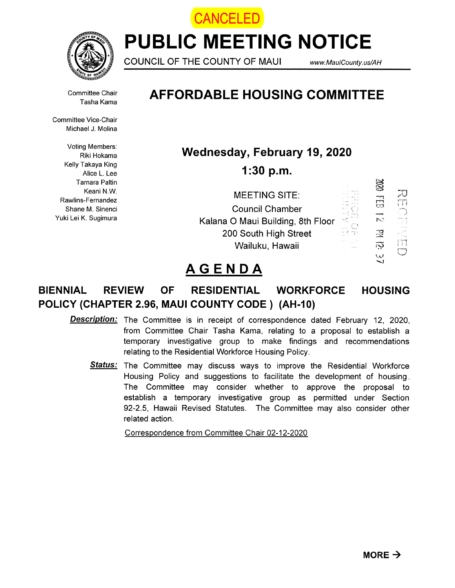



PUBLIC MEETING NOTICE

COUNCIL OF THE COUNTY OF MAUI www.MauiCounty. us/AH

S

Committee Chair Tasha Kama

Committee Vice-Chair Michael J. Molina

Voting Members: Riki Hokama Kelly Takaya King Alice L. Lee Tamara Paltin Keani N.W. Rawlins-Fernandez Shane M. Sinenci Yuki Lei K. Sugimura

## AFFORDABLE HOUSING COMMITTEE

Wednesday, February 19, 2020

1:30 p.m.

| <b>MEETING SITE:</b>              | 3              |     |
|-----------------------------------|----------------|-----|
| <b>Council Chamber</b>            | ä              | m   |
| Kalana O Maui Building, 8th Floor | h.             | -11 |
| 200 South High Street             | 卫              |     |
| Wailuku, Hawaii                   | $\overline{D}$ | m   |
|                                   | البارا         |     |

# AGENDA

### BIENNIAL REVIEW OF RESIDENTIAL WORKFORCE POLICY (CHAPTER 2.96, MAUI COUNTY CODE) (AH-1O) HOUSING

- **Description:** The Committee is in receipt of correspondence dated February 12, 2020, from Committee Chair Tasha Kama, relating to a proposal to establish a temporary investigative group to make findings and recommendations relating to the Residential Workforce Housing Policy.
	- **Status:** The Committee may discuss ways to improve the Residential Workforce Housing Policy and suggestions to facilitate the development of housing. The Committee may consider whether to approve the proposal to establish a temporary investigative group as permitted under Section 92-2.5, Hawaii Revised Statutes. The Committee may also consider other related action.

Correspondence from Committee Chair 02-12-2020